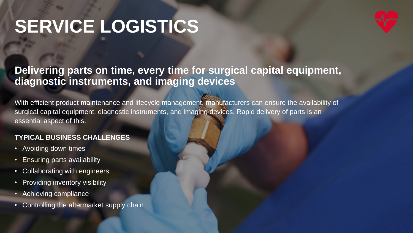## **SERVICE LOGISTICS**



### **Delivering parts on time, every time for surgical capital equipment, diagnostic instruments, and imaging devices**

With efficient product maintenance and lifecycle management, manufacturers can ensure the availability of surgical capital equipment, diagnostic instruments, and imaging devices. Rapid delivery of parts is an essential aspect of this.

#### **TYPICAL BUSINESS CHALLENGES**

- Avoiding down times
- Ensuring parts availability
- Collaborating with engineers
- Providing inventory visibility
- Achieving compliance
- Controlling the aftermarket supply chain